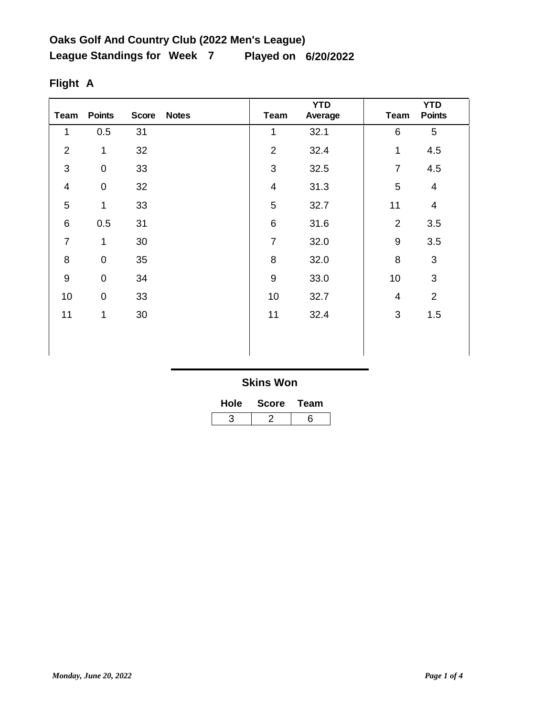| <b>Team</b>             | <b>Points</b>    | <b>Score</b> | <b>Notes</b> | <b>Team</b>    | <b>YTD</b><br>Average | <b>Team</b>     | <b>YTD</b><br><b>Points</b> |
|-------------------------|------------------|--------------|--------------|----------------|-----------------------|-----------------|-----------------------------|
| 1                       | 0.5              | 31           |              | 1              | 32.1                  | $6\phantom{1}6$ | 5                           |
| $\overline{2}$          | 1                | 32           |              | $\mathbf 2$    | 32.4                  | 1               | 4.5                         |
| 3                       | $\pmb{0}$        | 33           |              | $\mathbf{3}$   | 32.5                  | $\overline{7}$  | 4.5                         |
| $\overline{\mathbf{4}}$ | $\pmb{0}$        | 32           |              | $\overline{4}$ | 31.3                  | 5               | $\overline{4}$              |
| 5                       | 1                | 33           |              | 5              | 32.7                  | 11              | $\overline{\mathbf{4}}$     |
| $\,6\,$                 | 0.5              | 31           |              | $\,6$          | 31.6                  | $\overline{2}$  | 3.5                         |
| $\overline{7}$          | $\mathbf 1$      | $30\,$       |              | $\overline{7}$ | 32.0                  | $9\,$           | 3.5                         |
| 8                       | $\pmb{0}$        | 35           |              | 8              | 32.0                  | 8               | $\sqrt{3}$                  |
| $9\,$                   | $\mathbf 0$      | 34           |              | $\overline{9}$ | 33.0                  | 10              | 3                           |
| 10                      | $\boldsymbol{0}$ | 33           |              | 10             | 32.7                  | $\overline{4}$  | $\overline{2}$              |
| 11                      | 1                | 30           |              | 11             | 32.4                  | $\sqrt{3}$      | 1.5                         |
|                         |                  |              |              |                |                       |                 |                             |
|                         |                  |              |              |                |                       |                 |                             |

# **Flight A**

| <b>Hole</b> | <b>Score</b> | Team |  |  |
|-------------|--------------|------|--|--|
|             |              | հ    |  |  |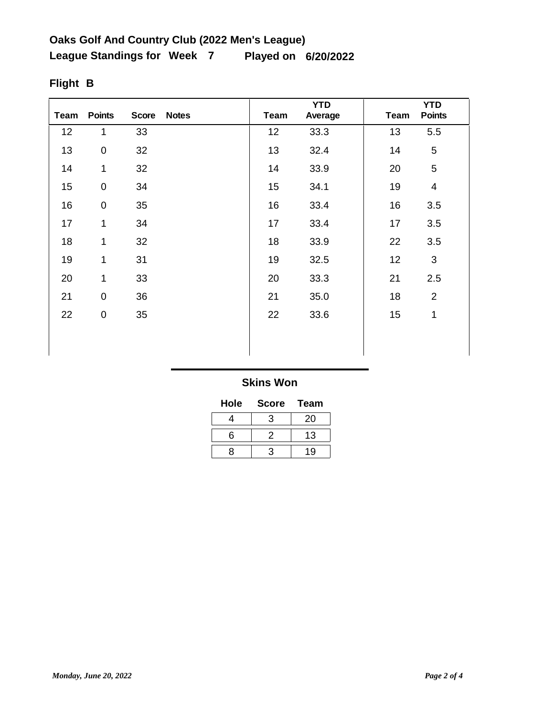| <b>Team</b> | <b>Points</b>       | <b>Score</b> | <b>Notes</b> | Team | <b>YTD</b><br>Average | <b>Team</b> | <b>YTD</b><br><b>Points</b> |
|-------------|---------------------|--------------|--------------|------|-----------------------|-------------|-----------------------------|
| 12          | 1                   | 33           |              | 12   | 33.3                  | 13          | 5.5                         |
| 13          | 0                   | 32           |              | 13   | 32.4                  | 14          | 5                           |
| 14          | 1                   | 32           |              | 14   | 33.9                  | 20          | 5                           |
| 15          | $\mathsf{O}\xspace$ | 34           |              | 15   | 34.1                  | 19          | $\overline{4}$              |
| 16          | $\pmb{0}$           | 35           |              | 16   | 33.4                  | 16          | 3.5                         |
| 17          | 1                   | 34           |              | 17   | 33.4                  | 17          | 3.5                         |
| 18          | 1                   | 32           |              | 18   | 33.9                  | 22          | 3.5                         |
| 19          | 1                   | 31           |              | 19   | 32.5                  | 12          | $\mathfrak{B}$              |
| 20          | 1                   | 33           |              | 20   | 33.3                  | 21          | 2.5                         |
| 21          | $\mathsf{O}\xspace$ | 36           |              | 21   | 35.0                  | 18          | $\overline{2}$              |
| 22          | 0                   | 35           |              | 22   | 33.6                  | 15          | 1                           |
|             |                     |              |              |      |                       |             |                             |
|             |                     |              |              |      |                       |             |                             |

# **Flight B**

### **Skins Won**

| Hole | <b>Score</b> | <b>Team</b> |
|------|--------------|-------------|
|      | з            | 20          |
| ิค   | 2            | 13          |
|      | ว            | ۱۹          |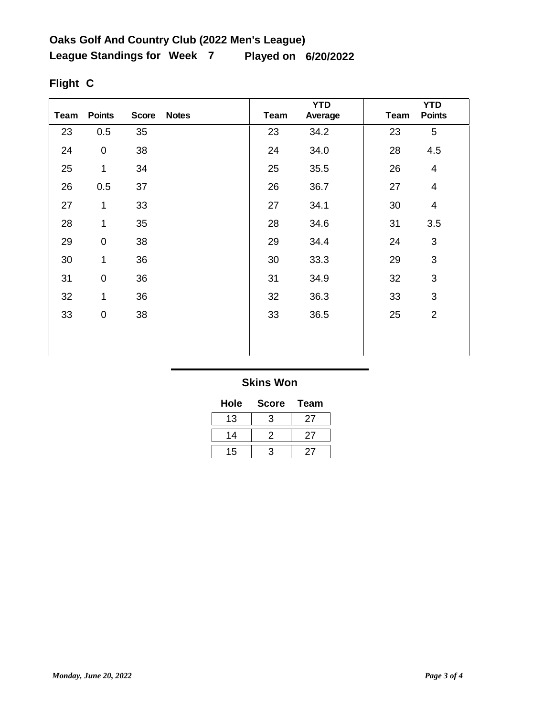| Team | <b>Points</b>       | <b>Score</b> | <b>Notes</b> | Team | <b>YTD</b><br>Average | <b>Team</b> | <b>YTD</b><br><b>Points</b> |
|------|---------------------|--------------|--------------|------|-----------------------|-------------|-----------------------------|
| 23   | 0.5                 | 35           |              | 23   | 34.2                  | 23          | 5                           |
| 24   | $\mathsf{O}\xspace$ | 38           |              | 24   | 34.0                  | 28          | 4.5                         |
| 25   | 1                   | 34           |              | 25   | 35.5                  | 26          | $\overline{\mathcal{A}}$    |
| 26   | 0.5                 | 37           |              | 26   | 36.7                  | 27          | $\overline{\mathcal{A}}$    |
| 27   | 1                   | 33           |              | 27   | 34.1                  | 30          | 4                           |
| 28   | 1                   | 35           |              | 28   | 34.6                  | 31          | 3.5                         |
| 29   | $\mathsf{O}\xspace$ | 38           |              | 29   | 34.4                  | 24          | $\mathfrak{S}$              |
| 30   | 1                   | 36           |              | 30   | 33.3                  | 29          | $\mathfrak{S}$              |
| 31   | 0                   | 36           |              | 31   | 34.9                  | 32          | 3                           |
| 32   | 1                   | 36           |              | 32   | 36.3                  | 33          | 3                           |
| 33   | 0                   | 38           |              | 33   | 36.5                  | 25          | $\overline{2}$              |
|      |                     |              |              |      |                       |             |                             |
|      |                     |              |              |      |                       |             |                             |

# **Flight C**

### **Skins Won**

| Hole | <b>Score</b> | <b>Team</b> |
|------|--------------|-------------|
| 13   | З            | 27          |
| 14   | 2            | 27          |
| 15   |              |             |